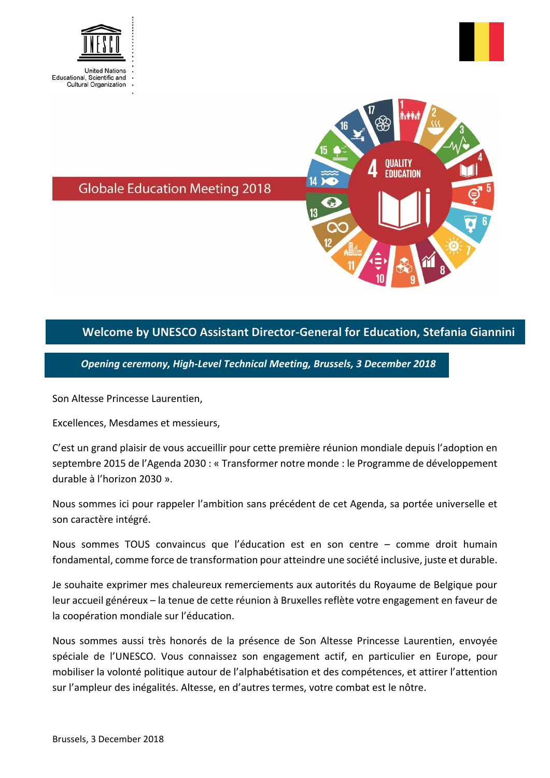



**OUALITY EDUCATION** 

**Globale Education Meeting 2018** 

## **Welcome by UNESCO Assistant Director-General for Education, Stefania Giannini**

*Opening ceremony, High-Level Technical Meeting, Brussels, 3 December 2018*

Son Altesse Princesse Laurentien,

Excellences, Mesdames et messieurs,

C'est un grand plaisir de vous accueillir pour cette première réunion mondiale depuis l'adoption en septembre 2015 de l'Agenda 2030 : « Transformer notre monde : le Programme de développement durable à l'horizon 2030 ».

Nous sommes ici pour rappeler l'ambition sans précédent de cet Agenda, sa portée universelle et son caractère intégré.

Nous sommes TOUS convaincus que l'éducation est en son centre – comme droit humain fondamental, comme force de transformation pour atteindre une société inclusive, juste et durable.

Je souhaite exprimer mes chaleureux remerciements aux autorités du Royaume de Belgique pour leur accueil généreux – la tenue de cette réunion à Bruxelles reflète votre engagement en faveur de la coopération mondiale sur l'éducation.

Nous sommes aussi très honorés de la présence de Son Altesse Princesse Laurentien, envoyée spéciale de l'UNESCO. Vous connaissez son engagement actif, en particulier en Europe, pour mobiliser la volonté politique autour de l'alphabétisation et des compétences, et attirer l'attention sur l'ampleur des inégalités. Altesse, en d'autres termes, votre combat est le nôtre.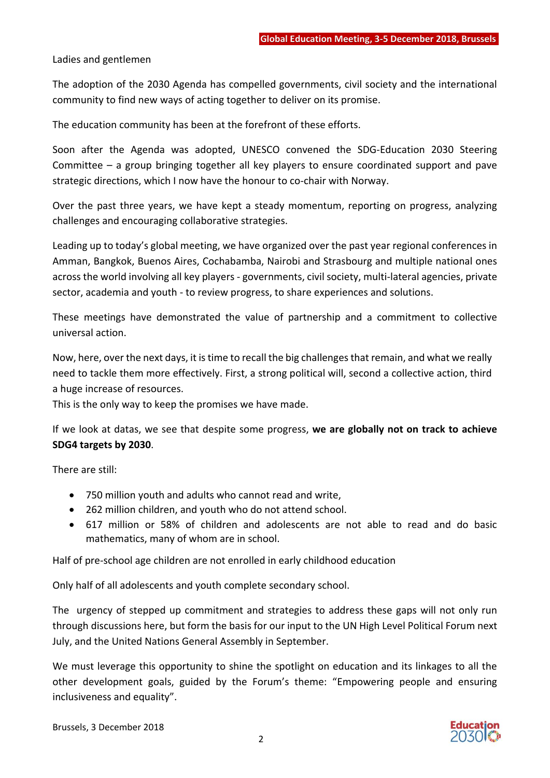Ladies and gentlemen

The adoption of the 2030 Agenda has compelled governments, civil society and the international community to find new ways of acting together to deliver on its promise.

The education community has been at the forefront of these efforts.

Soon after the Agenda was adopted, UNESCO convened the SDG-Education 2030 Steering Committee – a group bringing together all key players to ensure coordinated support and pave strategic directions, which I now have the honour to co-chair with Norway.

Over the past three years, we have kept a steady momentum, reporting on progress, analyzing challenges and encouraging collaborative strategies.

Leading up to today's global meeting, we have organized over the past year regional conferences in Amman, Bangkok, Buenos Aires, Cochabamba, Nairobi and Strasbourg and multiple national ones across the world involving all key players - governments, civil society, multi-lateral agencies, private sector, academia and youth - to review progress, to share experiences and solutions.

These meetings have demonstrated the value of partnership and a commitment to collective universal action.

Now, here, over the next days, it istime to recall the big challenges that remain, and what we really need to tackle them more effectively. First, a strong political will, second a collective action, third a huge increase of resources.

This is the only way to keep the promises we have made.

If we look at datas, we see that despite some progress, **we are globally not on track to achieve SDG4 targets by 2030**.

There are still:

- 750 million youth and adults who cannot read and write,
- 262 million children, and youth who do not attend school.
- 617 million or 58% of children and adolescents are not able to read and do basic mathematics, many of whom are in school.

Half of pre-school age children are not enrolled in early childhood education

Only half of all adolescents and youth complete secondary school.

The urgency of stepped up commitment and strategies to address these gaps will not only run through discussions here, but form the basis for our input to the UN High Level Political Forum next July, and the United Nations General Assembly in September.

We must leverage this opportunity to shine the spotlight on education and its linkages to all the other development goals, guided by the Forum's theme: "Empowering people and ensuring inclusiveness and equality".

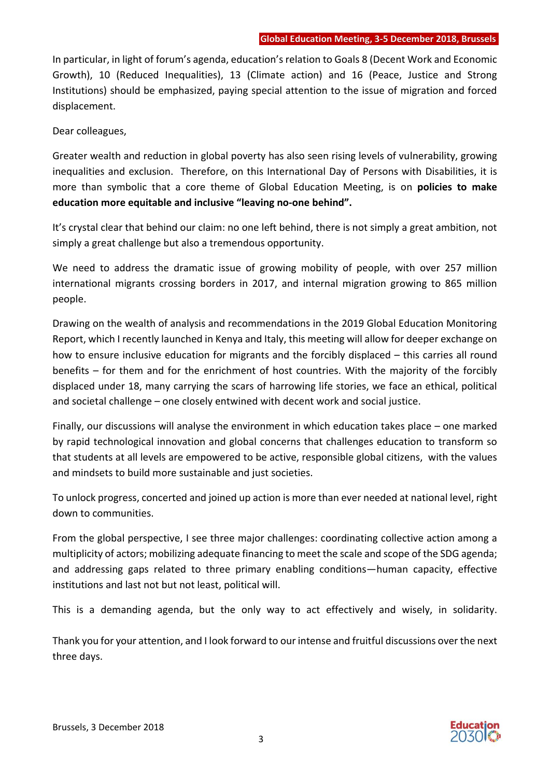In particular, in light of forum's agenda, education's relation to Goals 8 (Decent Work and Economic Growth), 10 (Reduced Inequalities), 13 (Climate action) and 16 (Peace, Justice and Strong Institutions) should be emphasized, paying special attention to the issue of migration and forced displacement.

Dear colleagues,

Greater wealth and reduction in global poverty has also seen rising levels of vulnerability, growing inequalities and exclusion. Therefore, on this International Day of Persons with Disabilities, it is more than symbolic that a core theme of Global Education Meeting, is on **policies to make education more equitable and inclusive "leaving no-one behind".**

It's crystal clear that behind our claim: no one left behind, there is not simply a great ambition, not simply a great challenge but also a tremendous opportunity.

We need to address the dramatic issue of growing mobility of people, with over 257 million international migrants crossing borders in 2017, and internal migration growing to 865 million people.

Drawing on the wealth of analysis and recommendations in the 2019 Global Education Monitoring Report, which I recently launched in Kenya and Italy, this meeting will allow for deeper exchange on how to ensure inclusive education for migrants and the forcibly displaced – this carries all round benefits – for them and for the enrichment of host countries. With the majority of the forcibly displaced under 18, many carrying the scars of harrowing life stories, we face an ethical, political and societal challenge – one closely entwined with decent work and social justice.

Finally, our discussions will analyse the environment in which education takes place – one marked by rapid technological innovation and global concerns that challenges education to transform so that students at all levels are empowered to be active, responsible global citizens, with the values and mindsets to build more sustainable and just societies.

To unlock progress, concerted and joined up action is more than ever needed at national level, right down to communities.

From the global perspective, I see three major challenges: coordinating collective action among a multiplicity of actors; mobilizing adequate financing to meet the scale and scope of the SDG agenda; and addressing gaps related to three primary enabling conditions—human capacity, effective institutions and last not but not least, political will.

This is a demanding agenda, but the only way to act effectively and wisely, in solidarity.

Thank you for your attention, and I look forward to our intense and fruitful discussions over the next three days.